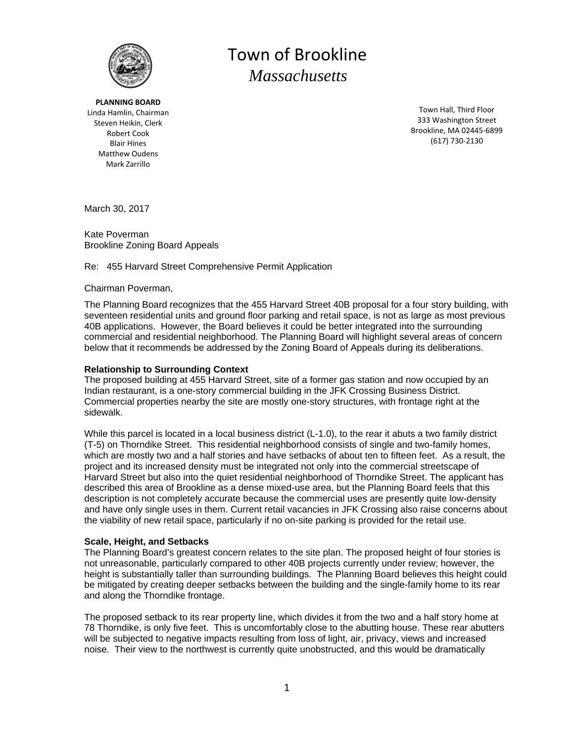

Mark Zarrillo **PLANNING BOARD** Linda Hamlin, Chairman Steven Heikin, Clerk Robert Cook Blair Hines Matthew Oudens

# Town of Brookline  *Massachusetts*

Town Hall, Third Floor 333 Washington Street Brookline, MA 02445‐6899 (617) 730‐2130

March 30, 2017

Kate Poverman Brookline Zoning Board Appeals

# Re: 455 Harvard Street Comprehensive Permit Application

### Chairman Poverman,

The Planning Board recognizes that the 455 Harvard Street 40B proposal for a four story building, with seventeen residential units and ground floor parking and retail space, is not as large as most previous 40B applications. However, the Board believes it could be better integrated into the surrounding commercial and residential neighborhood. The Planning Board will highlight several areas of concern below that it recommends be addressed by the Zoning Board of Appeals during its deliberations.

# **Relationship to Surrounding Context**

The proposed building at 455 Harvard Street, site of a former gas station and now occupied by an Indian restaurant, is a one-story commercial building in the JFK Crossing Business District. Commercial properties nearby the site are mostly one-story structures, with frontage right at the sidewalk.

While this parcel is located in a local business district (L-1.0), to the rear it abuts a two family district (T-5) on Thorndike Street. This residential neighborhood consists of single and two-family homes, which are mostly two and a half stories and have setbacks of about ten to fifteen feet. As a result, the project and its increased density must be integrated not only into the commercial streetscape of Harvard Street but also into the quiet residential neighborhood of Thorndike Street. The applicant has described this area of Brookline as a dense mixed-use area, but the Planning Board feels that this description is not completely accurate because the commercial uses are presently quite low-density and have only single uses in them. Current retail vacancies in JFK Crossing also raise concerns about the viability of new retail space, particularly if no on-site parking is provided for the retail use.

### **Scale, Height, and Setbacks**

The Planning Board's greatest concern relates to the site plan. The proposed height of four stories is not unreasonable, particularly compared to other 40B projects currently under review; however, the height is substantially taller than surrounding buildings. The Planning Board believes this height could be mitigated by creating deeper setbacks between the building and the single-family home to its rear and along the Thorndike frontage.

The proposed setback to its rear property line, which divides it from the two and a half story home at 78 Thorndike, is only five feet. This is uncomfortably close to the abutting house. These rear abutters will be subjected to negative impacts resulting from loss of light, air, privacy, views and increased noise. Their view to the northwest is currently quite unobstructed, and this would be dramatically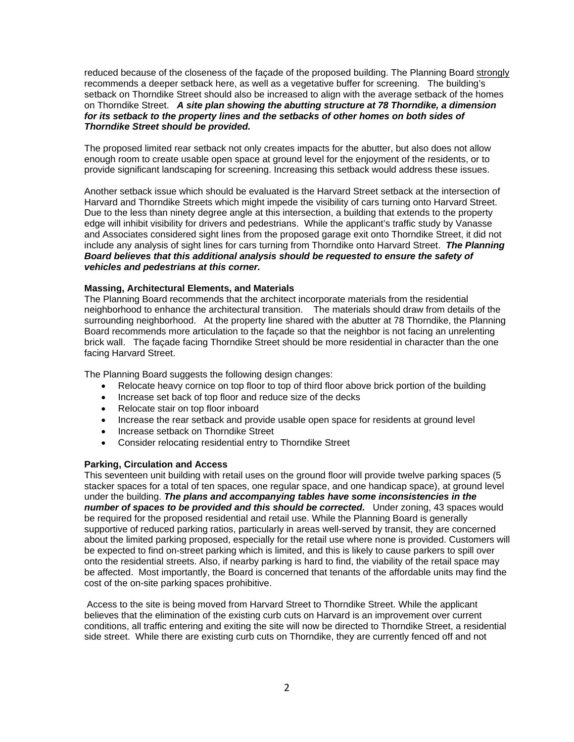reduced because of the closeness of the façade of the proposed building. The Planning Board strongly recommends a deeper setback here, as well as a vegetative buffer for screening. The building's setback on Thorndike Street should also be increased to align with the average setback of the homes on Thorndike Street. *A site plan showing the abutting structure at 78 Thorndike, a dimension for its setback to the property lines and the setbacks of other homes on both sides of Thorndike Street should be provided.* 

The proposed limited rear setback not only creates impacts for the abutter, but also does not allow enough room to create usable open space at ground level for the enjoyment of the residents, or to provide significant landscaping for screening. Increasing this setback would address these issues.

Another setback issue which should be evaluated is the Harvard Street setback at the intersection of Harvard and Thorndike Streets which might impede the visibility of cars turning onto Harvard Street. Due to the less than ninety degree angle at this intersection, a building that extends to the property edge will inhibit visibility for drivers and pedestrians. While the applicant's traffic study by Vanasse and Associates considered sight lines from the proposed garage exit onto Thorndike Street, it did not include any analysis of sight lines for cars turning from Thorndike onto Harvard Street. *The Planning Board believes that this additional analysis should be requested to ensure the safety of vehicles and pedestrians at this corner.* 

### **Massing, Architectural Elements, and Materials**

The Planning Board recommends that the architect incorporate materials from the residential neighborhood to enhance the architectural transition. The materials should draw from details of the surrounding neighborhood. At the property line shared with the abutter at 78 Thorndike, the Planning Board recommends more articulation to the façade so that the neighbor is not facing an unrelenting brick wall. The façade facing Thorndike Street should be more residential in character than the one facing Harvard Street.

The Planning Board suggests the following design changes:

- Relocate heavy cornice on top floor to top of third floor above brick portion of the building
- Increase set back of top floor and reduce size of the decks
- Relocate stair on top floor inboard
- Increase the rear setback and provide usable open space for residents at ground level
- Increase setback on Thorndike Street
- Consider relocating residential entry to Thorndike Street

### **Parking, Circulation and Access**

This seventeen unit building with retail uses on the ground floor will provide twelve parking spaces (5 stacker spaces for a total of ten spaces, one regular space, and one handicap space), at ground level under the building. *The plans and accompanying tables have some inconsistencies in the number of spaces to be provided and this should be corrected.* Under zoning, 43 spaces would be required for the proposed residential and retail use. While the Planning Board is generally supportive of reduced parking ratios, particularly in areas well-served by transit, they are concerned about the limited parking proposed, especially for the retail use where none is provided. Customers will be expected to find on-street parking which is limited, and this is likely to cause parkers to spill over onto the residential streets. Also, if nearby parking is hard to find, the viability of the retail space may be affected. Most importantly, the Board is concerned that tenants of the affordable units may find the cost of the on-site parking spaces prohibitive.

 Access to the site is being moved from Harvard Street to Thorndike Street. While the applicant believes that the elimination of the existing curb cuts on Harvard is an improvement over current conditions, all traffic entering and exiting the site will now be directed to Thorndike Street, a residential side street. While there are existing curb cuts on Thorndike, they are currently fenced off and not